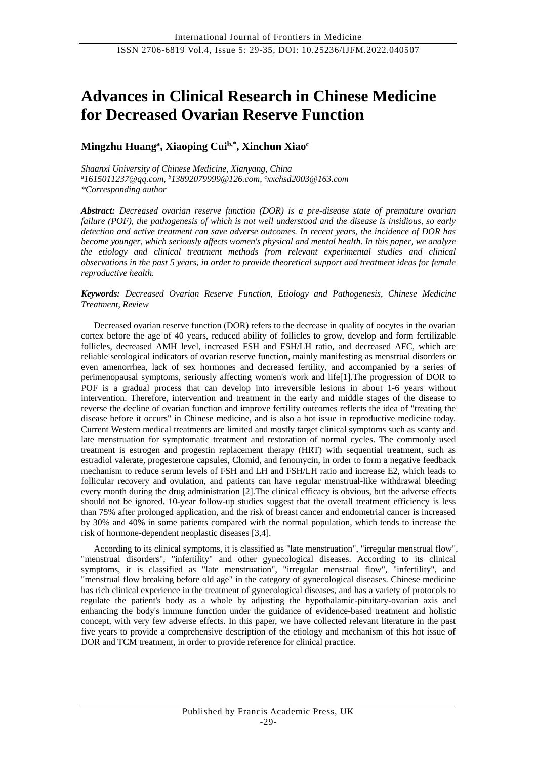# **Advances in Clinical Research in Chinese Medicine for Decreased Ovarian Reserve Function**

# **Mingzhu Huang<sup>a</sup> , Xiaoping Cuib,\* , Xinchun Xiao<sup>c</sup>**

*Shaanxi University of Chinese Medicine, Xianyang, China <sup>a</sup>1615011237@qq.com, <sup>b</sup>[13892079999@126.com,](mailto:13892079999@126.com) c xxchsd2003@163.com \*Corresponding author*

*Abstract: Decreased ovarian reserve function (DOR) is a pre-disease state of premature ovarian failure (POF), the pathogenesis of which is not well understood and the disease is insidious, so early detection and active treatment can save adverse outcomes. In recent years, the incidence of DOR has become younger, which seriously affects women's physical and mental health. In this paper, we analyze the etiology and clinical treatment methods from relevant experimental studies and clinical observations in the past 5 years, in order to provide theoretical support and treatment ideas for female reproductive health.*

# *Keywords: Decreased Ovarian Reserve Function, Etiology and Pathogenesis, Chinese Medicine Treatment, Review*

Decreased ovarian reserve function (DOR) refers to the decrease in quality of oocytes in the ovarian cortex before the age of 40 years, reduced ability of follicles to grow, develop and form fertilizable follicles, decreased AMH level, increased FSH and FSH/LH ratio, and decreased AFC, which are reliable serological indicators of ovarian reserve function, mainly manifesting as menstrual disorders or even amenorrhea, lack of sex hormones and decreased fertility, and accompanied by a series of perimenopausal symptoms, seriously affecting women's work and life[1].The progression of DOR to POF is a gradual process that can develop into irreversible lesions in about 1-6 years without intervention. Therefore, intervention and treatment in the early and middle stages of the disease to reverse the decline of ovarian function and improve fertility outcomes reflects the idea of "treating the disease before it occurs" in Chinese medicine, and is also a hot issue in reproductive medicine today. Current Western medical treatments are limited and mostly target clinical symptoms such as scanty and late menstruation for symptomatic treatment and restoration of normal cycles. The commonly used treatment is estrogen and progestin replacement therapy (HRT) with sequential treatment, such as estradiol valerate, progesterone capsules, Clomid, and fenomycin, in order to form a negative feedback mechanism to reduce serum levels of FSH and LH and FSH/LH ratio and increase E2, which leads to follicular recovery and ovulation, and patients can have regular menstrual-like withdrawal bleeding every month during the drug administration [2].The clinical efficacy is obvious, but the adverse effects should not be ignored. 10-year follow-up studies suggest that the overall treatment efficiency is less than 75% after prolonged application, and the risk of breast cancer and endometrial cancer is increased by 30% and 40% in some patients compared with the normal population, which tends to increase the risk of hormone-dependent neoplastic diseases [3,4].

According to its clinical symptoms, it is classified as "late menstruation", "irregular menstrual flow", "menstrual disorders", "infertility" and other gynecological diseases. According to its clinical symptoms, it is classified as "late menstruation", "irregular menstrual flow", "infertility", and "menstrual flow breaking before old age" in the category of gynecological diseases. Chinese medicine has rich clinical experience in the treatment of gynecological diseases, and has a variety of protocols to regulate the patient's body as a whole by adjusting the hypothalamic-pituitary-ovarian axis and enhancing the body's immune function under the guidance of evidence-based treatment and holistic concept, with very few adverse effects. In this paper, we have collected relevant literature in the past five years to provide a comprehensive description of the etiology and mechanism of this hot issue of DOR and TCM treatment, in order to provide reference for clinical practice.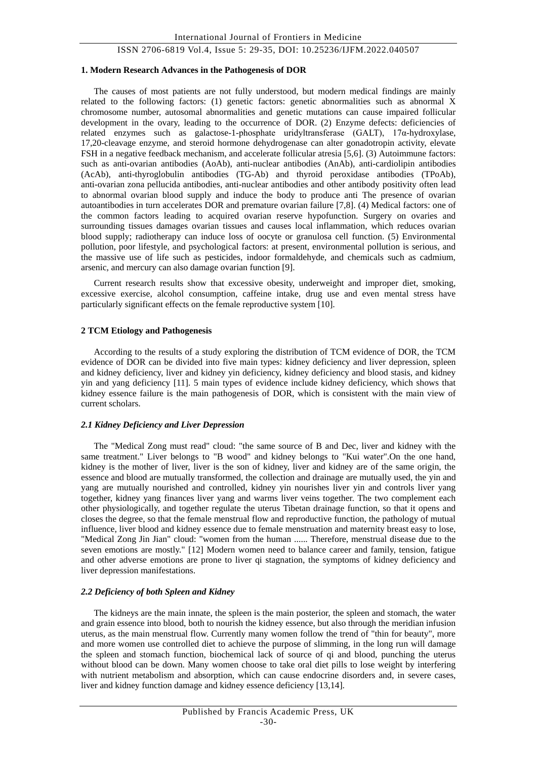#### **1. Modern Research Advances in the Pathogenesis of DOR**

The causes of most patients are not fully understood, but modern medical findings are mainly related to the following factors: (1) genetic factors: genetic abnormalities such as abnormal X chromosome number, autosomal abnormalities and genetic mutations can cause impaired follicular development in the ovary, leading to the occurrence of DOR. (2) Enzyme defects: deficiencies of related enzymes such as galactose-1-phosphate uridyltransferase (GALT), 17α-hydroxylase, 17,20-cleavage enzyme, and steroid hormone dehydrogenase can alter gonadotropin activity, elevate FSH in a negative feedback mechanism, and accelerate follicular atresia [5,6]. (3) Autoimmune factors: such as anti-ovarian antibodies (AoAb), anti-nuclear antibodies (AnAb), anti-cardiolipin antibodies (AcAb), anti-thyroglobulin antibodies (TG-Ab) and thyroid peroxidase antibodies (TPoAb), anti-ovarian zona pellucida antibodies, anti-nuclear antibodies and other antibody positivity often lead to abnormal ovarian blood supply and induce the body to produce anti The presence of ovarian autoantibodies in turn accelerates DOR and premature ovarian failure [7,8]. (4) Medical factors: one of the common factors leading to acquired ovarian reserve hypofunction. Surgery on ovaries and surrounding tissues damages ovarian tissues and causes local inflammation, which reduces ovarian blood supply; radiotherapy can induce loss of oocyte or granulosa cell function. (5) Environmental pollution, poor lifestyle, and psychological factors: at present, environmental pollution is serious, and the massive use of life such as pesticides, indoor formaldehyde, and chemicals such as cadmium, arsenic, and mercury can also damage ovarian function [9].

Current research results show that excessive obesity, underweight and improper diet, smoking, excessive exercise, alcohol consumption, caffeine intake, drug use and even mental stress have particularly significant effects on the female reproductive system [10].

#### **2 TCM Etiology and Pathogenesis**

According to the results of a study exploring the distribution of TCM evidence of DOR, the TCM evidence of DOR can be divided into five main types: kidney deficiency and liver depression, spleen and kidney deficiency, liver and kidney yin deficiency, kidney deficiency and blood stasis, and kidney yin and yang deficiency [11]. 5 main types of evidence include kidney deficiency, which shows that kidney essence failure is the main pathogenesis of DOR, which is consistent with the main view of current scholars.

#### *2.1 Kidney Deficiency and Liver Depression*

The "Medical Zong must read" cloud: "the same source of B and Dec, liver and kidney with the same treatment." Liver belongs to "B wood" and kidney belongs to "Kui water".On the one hand, kidney is the mother of liver, liver is the son of kidney, liver and kidney are of the same origin, the essence and blood are mutually transformed, the collection and drainage are mutually used, the yin and yang are mutually nourished and controlled, kidney yin nourishes liver yin and controls liver yang together, kidney yang finances liver yang and warms liver veins together. The two complement each other physiologically, and together regulate the uterus Tibetan drainage function, so that it opens and closes the degree, so that the female menstrual flow and reproductive function, the pathology of mutual influence, liver blood and kidney essence due to female menstruation and maternity breast easy to lose, "Medical Zong Jin Jian" cloud: "women from the human ...... Therefore, menstrual disease due to the seven emotions are mostly." [12] Modern women need to balance career and family, tension, fatigue and other adverse emotions are prone to liver qi stagnation, the symptoms of kidney deficiency and liver depression manifestations.

#### *2.2 Deficiency of both Spleen and Kidney*

The kidneys are the main innate, the spleen is the main posterior, the spleen and stomach, the water and grain essence into blood, both to nourish the kidney essence, but also through the meridian infusion uterus, as the main menstrual flow. Currently many women follow the trend of "thin for beauty", more and more women use controlled diet to achieve the purpose of slimming, in the long run will damage the spleen and stomach function, biochemical lack of source of qi and blood, punching the uterus without blood can be down. Many women choose to take oral diet pills to lose weight by interfering with nutrient metabolism and absorption, which can cause endocrine disorders and, in severe cases, liver and kidney function damage and kidney essence deficiency [13,14].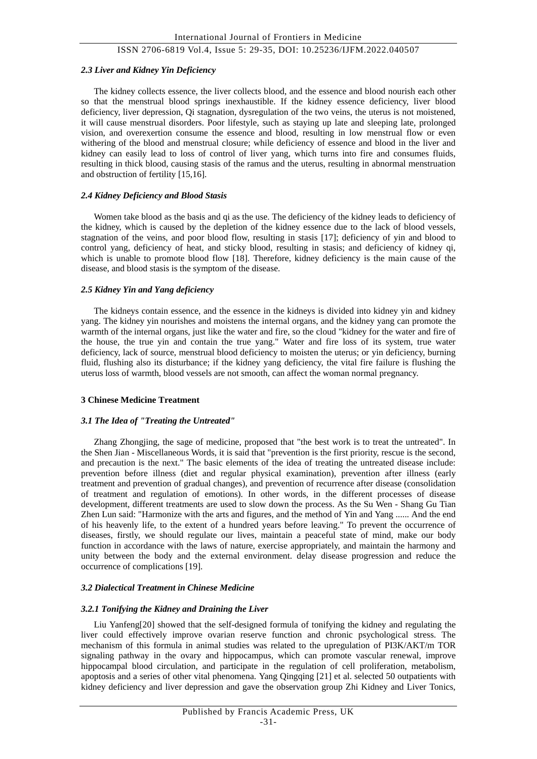#### *2.3 Liver and Kidney Yin Deficiency*

The kidney collects essence, the liver collects blood, and the essence and blood nourish each other so that the menstrual blood springs inexhaustible. If the kidney essence deficiency, liver blood deficiency, liver depression, Qi stagnation, dysregulation of the two veins, the uterus is not moistened, it will cause menstrual disorders. Poor lifestyle, such as staying up late and sleeping late, prolonged vision, and overexertion consume the essence and blood, resulting in low menstrual flow or even withering of the blood and menstrual closure; while deficiency of essence and blood in the liver and kidney can easily lead to loss of control of liver yang, which turns into fire and consumes fluids, resulting in thick blood, causing stasis of the ramus and the uterus, resulting in abnormal menstruation and obstruction of fertility [15,16].

#### *2.4 Kidney Deficiency and Blood Stasis*

Women take blood as the basis and qi as the use. The deficiency of the kidney leads to deficiency of the kidney, which is caused by the depletion of the kidney essence due to the lack of blood vessels, stagnation of the veins, and poor blood flow, resulting in stasis [17]; deficiency of yin and blood to control yang, deficiency of heat, and sticky blood, resulting in stasis; and deficiency of kidney qi, which is unable to promote blood flow [18]. Therefore, kidney deficiency is the main cause of the disease, and blood stasis is the symptom of the disease.

## *2.5 Kidney Yin and Yang deficiency*

The kidneys contain essence, and the essence in the kidneys is divided into kidney yin and kidney yang. The kidney yin nourishes and moistens the internal organs, and the kidney yang can promote the warmth of the internal organs, just like the water and fire, so the cloud "kidney for the water and fire of the house, the true yin and contain the true yang." Water and fire loss of its system, true water deficiency, lack of source, menstrual blood deficiency to moisten the uterus; or yin deficiency, burning fluid, flushing also its disturbance; if the kidney yang deficiency, the vital fire failure is flushing the uterus loss of warmth, blood vessels are not smooth, can affect the woman normal pregnancy.

# **3 Chinese Medicine Treatment**

#### *3.1 The Idea of "Treating the Untreated"*

Zhang Zhongjing, the sage of medicine, proposed that "the best work is to treat the untreated". In the Shen Jian - Miscellaneous Words, it is said that "prevention is the first priority, rescue is the second, and precaution is the next." The basic elements of the idea of treating the untreated disease include: prevention before illness (diet and regular physical examination), prevention after illness (early treatment and prevention of gradual changes), and prevention of recurrence after disease (consolidation of treatment and regulation of emotions). In other words, in the different processes of disease development, different treatments are used to slow down the process. As the Su Wen - Shang Gu Tian Zhen Lun said: "Harmonize with the arts and figures, and the method of Yin and Yang ...... And the end of his heavenly life, to the extent of a hundred years before leaving." To prevent the occurrence of diseases, firstly, we should regulate our lives, maintain a peaceful state of mind, make our body function in accordance with the laws of nature, exercise appropriately, and maintain the harmony and unity between the body and the external environment. delay disease progression and reduce the occurrence of complications [19].

# *3.2 Dialectical Treatment in Chinese Medicine*

#### *3.2.1 Tonifying the Kidney and Draining the Liver*

Liu Yanfeng[20] showed that the self-designed formula of tonifying the kidney and regulating the liver could effectively improve ovarian reserve function and chronic psychological stress. The mechanism of this formula in animal studies was related to the upregulation of PI3K/AKT/m TOR signaling pathway in the ovary and hippocampus, which can promote vascular renewal, improve hippocampal blood circulation, and participate in the regulation of cell proliferation, metabolism, apoptosis and a series of other vital phenomena. Yang Qingqing [21] et al. selected 50 outpatients with kidney deficiency and liver depression and gave the observation group Zhi Kidney and Liver Tonics,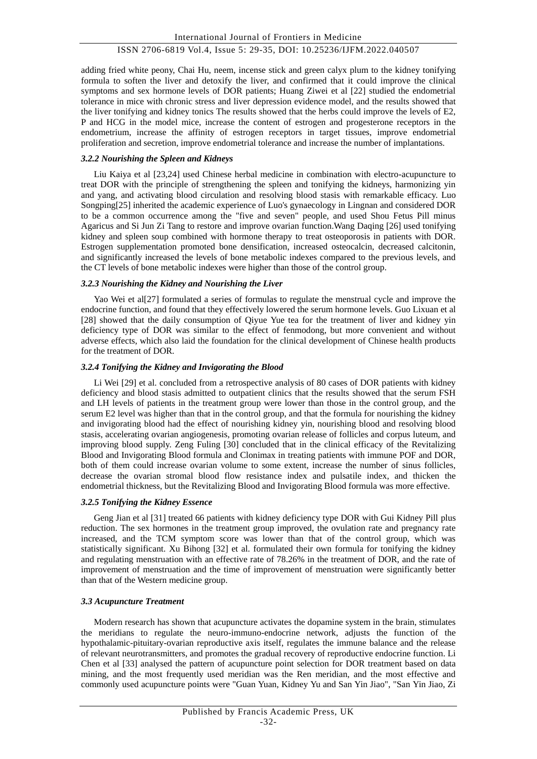adding fried white peony, Chai Hu, neem, incense stick and green calyx plum to the kidney tonifying formula to soften the liver and detoxify the liver, and confirmed that it could improve the clinical symptoms and sex hormone levels of DOR patients; Huang Ziwei et al [22] studied the endometrial tolerance in mice with chronic stress and liver depression evidence model, and the results showed that the liver tonifying and kidney tonics The results showed that the herbs could improve the levels of E2, P and HCG in the model mice, increase the content of estrogen and progesterone receptors in the endometrium, increase the affinity of estrogen receptors in target tissues, improve endometrial proliferation and secretion, improve endometrial tolerance and increase the number of implantations.

## *3.2.2 Nourishing the Spleen and Kidneys*

Liu Kaiya et al [23,24] used Chinese herbal medicine in combination with electro-acupuncture to treat DOR with the principle of strengthening the spleen and tonifying the kidneys, harmonizing yin and yang, and activating blood circulation and resolving blood stasis with remarkable efficacy. Luo Songping[25] inherited the academic experience of Luo's gynaecology in Lingnan and considered DOR to be a common occurrence among the "five and seven" people, and used Shou Fetus Pill minus Agaricus and Si Jun Zi Tang to restore and improve ovarian function.Wang Daqing [26] used tonifying kidney and spleen soup combined with hormone therapy to treat osteoporosis in patients with DOR. Estrogen supplementation promoted bone densification, increased osteocalcin, decreased calcitonin, and significantly increased the levels of bone metabolic indexes compared to the previous levels, and the CT levels of bone metabolic indexes were higher than those of the control group.

## *3.2.3 Nourishing the Kidney and Nourishing the Liver*

Yao Wei et al[27] formulated a series of formulas to regulate the menstrual cycle and improve the endocrine function, and found that they effectively lowered the serum hormone levels. Guo Lixuan et al [28] showed that the daily consumption of Qiyue Yue tea for the treatment of liver and kidney yin deficiency type of DOR was similar to the effect of fenmodong, but more convenient and without adverse effects, which also laid the foundation for the clinical development of Chinese health products for the treatment of DOR.

#### *3.2.4 Tonifying the Kidney and Invigorating the Blood*

Li Wei [29] et al. concluded from a retrospective analysis of 80 cases of DOR patients with kidney deficiency and blood stasis admitted to outpatient clinics that the results showed that the serum FSH and LH levels of patients in the treatment group were lower than those in the control group, and the serum E2 level was higher than that in the control group, and that the formula for nourishing the kidney and invigorating blood had the effect of nourishing kidney yin, nourishing blood and resolving blood stasis, accelerating ovarian angiogenesis, promoting ovarian release of follicles and corpus luteum, and improving blood supply. Zeng Fuling [30] concluded that in the clinical efficacy of the Revitalizing Blood and Invigorating Blood formula and Clonimax in treating patients with immune POF and DOR, both of them could increase ovarian volume to some extent, increase the number of sinus follicles, decrease the ovarian stromal blood flow resistance index and pulsatile index, and thicken the endometrial thickness, but the Revitalizing Blood and Invigorating Blood formula was more effective.

# *3.2.5 Tonifying the Kidney Essence*

Geng Jian et al [31] treated 66 patients with kidney deficiency type DOR with Gui Kidney Pill plus reduction. The sex hormones in the treatment group improved, the ovulation rate and pregnancy rate increased, and the TCM symptom score was lower than that of the control group, which was statistically significant. Xu Bihong [32] et al. formulated their own formula for tonifying the kidney and regulating menstruation with an effective rate of 78.26% in the treatment of DOR, and the rate of improvement of menstruation and the time of improvement of menstruation were significantly better than that of the Western medicine group.

# *3.3 Acupuncture Treatment*

Modern research has shown that acupuncture activates the dopamine system in the brain, stimulates the meridians to regulate the neuro-immuno-endocrine network, adjusts the function of the hypothalamic-pituitary-ovarian reproductive axis itself, regulates the immune balance and the release of relevant neurotransmitters, and promotes the gradual recovery of reproductive endocrine function. Li Chen et al [33] analysed the pattern of acupuncture point selection for DOR treatment based on data mining, and the most frequently used meridian was the Ren meridian, and the most effective and commonly used acupuncture points were "Guan Yuan, Kidney Yu and San Yin Jiao", "San Yin Jiao, Zi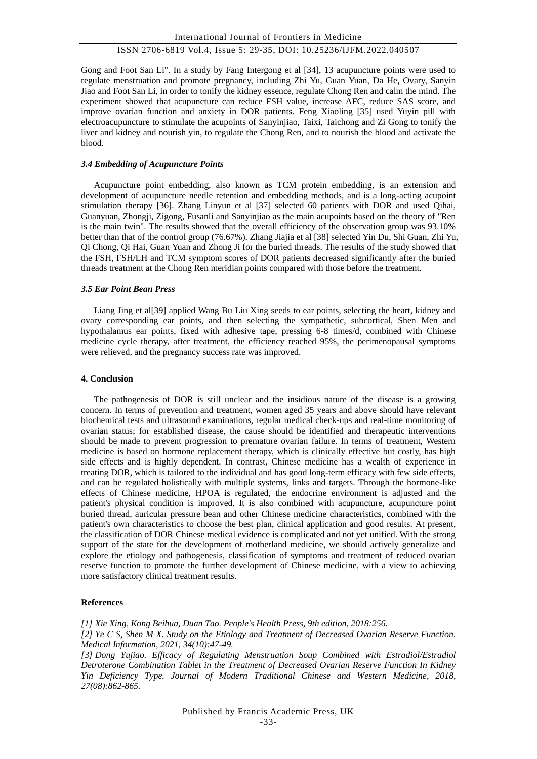Gong and Foot San Li". In a study by Fang Intergong et al [34], 13 acupuncture points were used to regulate menstruation and promote pregnancy, including Zhi Yu, Guan Yuan, Da He, Ovary, Sanyin Jiao and Foot San Li, in order to tonify the kidney essence, regulate Chong Ren and calm the mind. The experiment showed that acupuncture can reduce FSH value, increase AFC, reduce SAS score, and improve ovarian function and anxiety in DOR patients. Feng Xiaoling [35] used Yuyin pill with electroacupuncture to stimulate the acupoints of Sanyinjiao, Taixi, Taichong and Zi Gong to tonify the liver and kidney and nourish yin, to regulate the Chong Ren, and to nourish the blood and activate the blood.

#### *3.4 Embedding of Acupuncture Points*

Acupuncture point embedding, also known as TCM protein embedding, is an extension and development of acupuncture needle retention and embedding methods, and is a long-acting acupoint stimulation therapy [36]. Zhang Linyun et al [37] selected 60 patients with DOR and used Qihai, Guanyuan, Zhongji, Zigong, Fusanli and Sanyinjiao as the main acupoints based on the theory of "Ren is the main twin". The results showed that the overall efficiency of the observation group was 93.10% better than that of the control group (76.67%). Zhang Jiajia et al [38] selected Yin Du, Shi Guan, Zhi Yu, Qi Chong, Qi Hai, Guan Yuan and Zhong Ji for the buried threads. The results of the study showed that the FSH, FSH/LH and TCM symptom scores of DOR patients decreased significantly after the buried threads treatment at the Chong Ren meridian points compared with those before the treatment.

#### *3.5 Ear Point Bean Press*

Liang Jing et al[39] applied Wang Bu Liu Xing seeds to ear points, selecting the heart, kidney and ovary corresponding ear points, and then selecting the sympathetic, subcortical, Shen Men and hypothalamus ear points, fixed with adhesive tape, pressing 6-8 times/d, combined with Chinese medicine cycle therapy, after treatment, the efficiency reached 95%, the perimenopausal symptoms were relieved, and the pregnancy success rate was improved.

## **4. Conclusion**

The pathogenesis of DOR is still unclear and the insidious nature of the disease is a growing concern. In terms of prevention and treatment, women aged 35 years and above should have relevant biochemical tests and ultrasound examinations, regular medical check-ups and real-time monitoring of ovarian status; for established disease, the cause should be identified and therapeutic interventions should be made to prevent progression to premature ovarian failure. In terms of treatment, Western medicine is based on hormone replacement therapy, which is clinically effective but costly, has high side effects and is highly dependent. In contrast, Chinese medicine has a wealth of experience in treating DOR, which is tailored to the individual and has good long-term efficacy with few side effects, and can be regulated holistically with multiple systems, links and targets. Through the hormone-like effects of Chinese medicine, HPOA is regulated, the endocrine environment is adjusted and the patient's physical condition is improved. It is also combined with acupuncture, acupuncture point buried thread, auricular pressure bean and other Chinese medicine characteristics, combined with the patient's own characteristics to choose the best plan, clinical application and good results. At present, the classification of DOR Chinese medical evidence is complicated and not yet unified. With the strong support of the state for the development of motherland medicine, we should actively generalize and explore the etiology and pathogenesis, classification of symptoms and treatment of reduced ovarian reserve function to promote the further development of Chinese medicine, with a view to achieving more satisfactory clinical treatment results.

# **References**

*[1] Xie Xing, Kong Beihua, Duan Tao. People's Health Press, 9th edition, 2018:256. [2] Ye C S, Shen M X. Study on the Etiology and Treatment of Decreased Ovarian Reserve Function. Medical Information, 2021, 34(10):47-49.*

*[3] Dong Yujiao. Efficacy of Regulating Menstruation Soup Combined with Estradiol/Estradiol Detroterone Combination Tablet in the Treatment of Decreased Ovarian Reserve Function In Kidney Yin Deficiency Type. Journal of Modern Traditional Chinese and Western Medicine, 2018, 27(08):862-865.*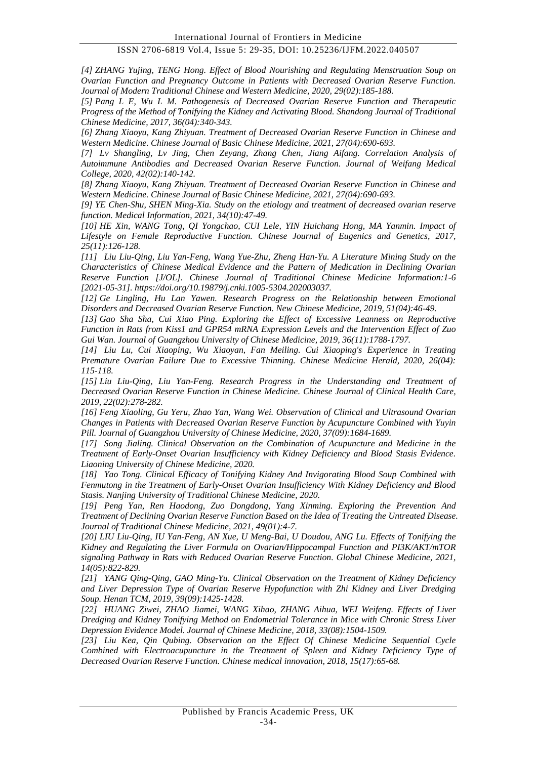*[4] ZHANG Yujing, TENG Hong. Effect of Blood Nourishing and Regulating Menstruation Soup on Ovarian Function and Pregnancy Outcome in Patients with Decreased Ovarian Reserve Function. Journal of Modern Traditional Chinese and Western Medicine, 2020, 29(02):185-188.*

*[5] Pang L E, Wu L M. Pathogenesis of Decreased Ovarian Reserve Function and Therapeutic Progress of the Method of Tonifying the Kidney and Activating Blood. Shandong Journal of Traditional Chinese Medicine, 2017, 36(04):340-343.*

*[6] Zhang Xiaoyu, Kang Zhiyuan. Treatment of Decreased Ovarian Reserve Function in Chinese and Western Medicine. Chinese Journal of Basic Chinese Medicine, 2021, 27(04):690-693.*

*[7] Lv Shangling, Lv Jing, Chen Zeyang, Zhang Chen, Jiang Aifang. Correlation Analysis of Autoimmune Antibodies and Decreased Ovarian Reserve Function. Journal of Weifang Medical College, 2020, 42(02):140-142.*

*[8] Zhang Xiaoyu, Kang Zhiyuan. Treatment of Decreased Ovarian Reserve Function in Chinese and Western Medicine. Chinese Journal of Basic Chinese Medicine, 2021, 27(04):690-693.*

*[9] YE Chen-Shu, SHEN Ming-Xia. Study on the etiology and treatment of decreased ovarian reserve function. Medical Information, 2021, 34(10):47-49.*

*[10] HE Xin, WANG Tong, QI Yongchao, CUI Lele, YIN Huichang Hong, MA Yanmin. Impact of Lifestyle on Female Reproductive Function. Chinese Journal of Eugenics and Genetics, 2017, 25(11):126-128.*

*[11] Liu Liu-Qing, Liu Yan-Feng, Wang Yue-Zhu, Zheng Han-Yu. A Literature Mining Study on the Characteristics of Chinese Medical Evidence and the Pattern of Medication in Declining Ovarian Reserve Function [J/OL]. Chinese Journal of Traditional Chinese Medicine Information:1-6 [2021-05-31]. https://doi.org/10.19879/j.cnki.1005-5304.202003037.*

*[12] Ge Lingling, Hu Lan Yawen. Research Progress on the Relationship between Emotional Disorders and Decreased Ovarian Reserve Function. New Chinese Medicine, 2019, 51(04):46-49.*

*[13] Gao Sha Sha, Cui Xiao Ping. Exploring the Effect of Excessive Leanness on Reproductive Function in Rats from Kiss1 and GPR54 mRNA Expression Levels and the Intervention Effect of Zuo Gui Wan. Journal of Guangzhou University of Chinese Medicine, 2019, 36(11):1788-1797.*

*[14] Liu Lu, Cui Xiaoping, Wu Xiaoyan, Fan Meiling. Cui Xiaoping's Experience in Treating Premature Ovarian Failure Due to Excessive Thinning. Chinese Medicine Herald, 2020, 26(04): 115-118.*

*[15] Liu Liu-Qing, Liu Yan-Feng. Research Progress in the Understanding and Treatment of Decreased Ovarian Reserve Function in Chinese Medicine. Chinese Journal of Clinical Health Care, 2019, 22(02):278-282.*

*[16] Feng Xiaoling, Gu Yeru, Zhao Yan, Wang Wei. Observation of Clinical and Ultrasound Ovarian Changes in Patients with Decreased Ovarian Reserve Function by Acupuncture Combined with Yuyin Pill. Journal of Guangzhou University of Chinese Medicine, 2020, 37(09):1684-1689.*

*[17] Song Jialing. Clinical Observation on the Combination of Acupuncture and Medicine in the Treatment of Early-Onset Ovarian Insufficiency with Kidney Deficiency and Blood Stasis Evidence. Liaoning University of Chinese Medicine, 2020.*

*[18] Yao Tong. Clinical Efficacy of Tonifying Kidney And Invigorating Blood Soup Combined with Fenmutong in the Treatment of Early-Onset Ovarian Insufficiency With Kidney Deficiency and Blood Stasis. Nanjing University of Traditional Chinese Medicine, 2020.*

*[19] Peng Yan, Ren Haodong, Zuo Dongdong, Yang Xinming. Exploring the Prevention And Treatment of Declining Ovarian Reserve Function Based on the Idea of Treating the Untreated Disease. Journal of Traditional Chinese Medicine, 2021, 49(01):4-7.*

*[20] LIU Liu-Qing, IU Yan-Feng, AN Xue, U Meng-Bai, U Doudou, ANG Lu. Effects of Tonifying the Kidney and Regulating the Liver Formula on Ovarian/Hippocampal Function and PI3K/AKT/mTOR signaling Pathway in Rats with Reduced Ovarian Reserve Function. Global Chinese Medicine, 2021, 14(05):822-829.*

*[21] YANG Qing-Qing, GAO Ming-Yu. Clinical Observation on the Treatment of Kidney Deficiency and Liver Depression Type of Ovarian Reserve Hypofunction with Zhi Kidney and Liver Dredging Soup. Henan TCM, 2019, 39(09):1425-1428.*

*[22] HUANG Ziwei, ZHAO Jiamei, WANG Xihao, ZHANG Aihua, WEI Weifeng. Effects of Liver Dredging and Kidney Tonifying Method on Endometrial Tolerance in Mice with Chronic Stress Liver Depression Evidence Model. Journal of Chinese Medicine, 2018, 33(08):1504-1509.*

*[23] Liu Kea, Qin Qubing. Observation on the Effect Of Chinese Medicine Sequential Cycle Combined with Electroacupuncture in the Treatment of Spleen and Kidney Deficiency Type of Decreased Ovarian Reserve Function. Chinese medical innovation, 2018, 15(17):65-68.*